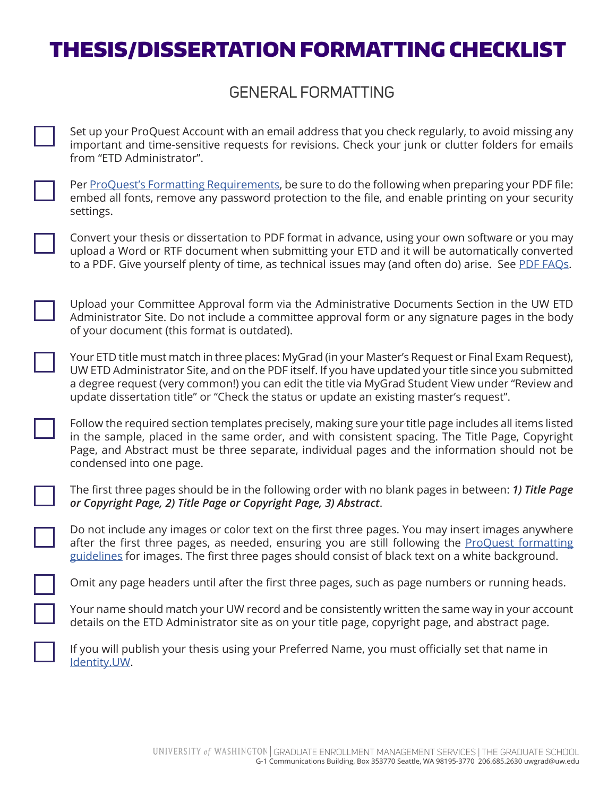## THESIS/DISSERTATION FORMATTING CHECKLIST

## GENERAL FORMATTING

Set up your ProQuest Account with an email address that you check regularly, to avoid missing any important and time-sensitive requests for revisions. Check your junk or clutter folders for emails from "ETD Administrator".



Per ProQuest's Formatting Requirements, be sure to do the following when preparing your PDF file: embed all fonts, remove any password protection to the file, and enable printing on your security settings.

Convert your thesis or dissertation to PDF format in advance, using your own software or you may upload a Word or RTF document when submitting your ETD and it will be automatically converted to a PDF. Give yourself plenty of time, as technical issues may (and often do) arise. See PDF FAQs.

Upload your Committee Approval form via the Administrative Documents Section in the UW ETD Administrator Site. Do not include a committee approval form or any signature pages in the body of your document (this format is outdated).

Your ETD title must match in three places: MyGrad (in your Master's Request or Final Exam Request), UW ETD Administrator Site, and on the PDF itself. If you have updated your title since you submitted a degree request (very common!) you can edit the title via MyGrad Student View under "Review and update dissertation title" or "Check the status or update an existing master's request".

Follow the required section templates precisely, making sure your title page includes all items listed in the sample, placed in the same order, and with consistent spacing. The Title Page, Copyright Page, and Abstract must be three separate, individual pages and the information should not be condensed into one page.

The first three pages should be in the following order with no blank pages in between: *1) Title Page or Copyright Page, 2) Title Page or Copyright Page, 3) Abstract*.

Do not include any images or color text on the first three pages. You may insert images anywhere after the first three pages, as needed, ensuring you are still following the ProQuest formatting guidelines for images. The first three pages should consist of black text on a white background.

Omit any page headers until after the first three pages, such as page numbers or running heads.

Your name should match your UW record and be consistently written the same way in your account details on the ETD Administrator site as on your title page, copyright page, and abstract page.

If you will publish your thesis using your Preferred Name, you must officially set that name in Identity.UW.